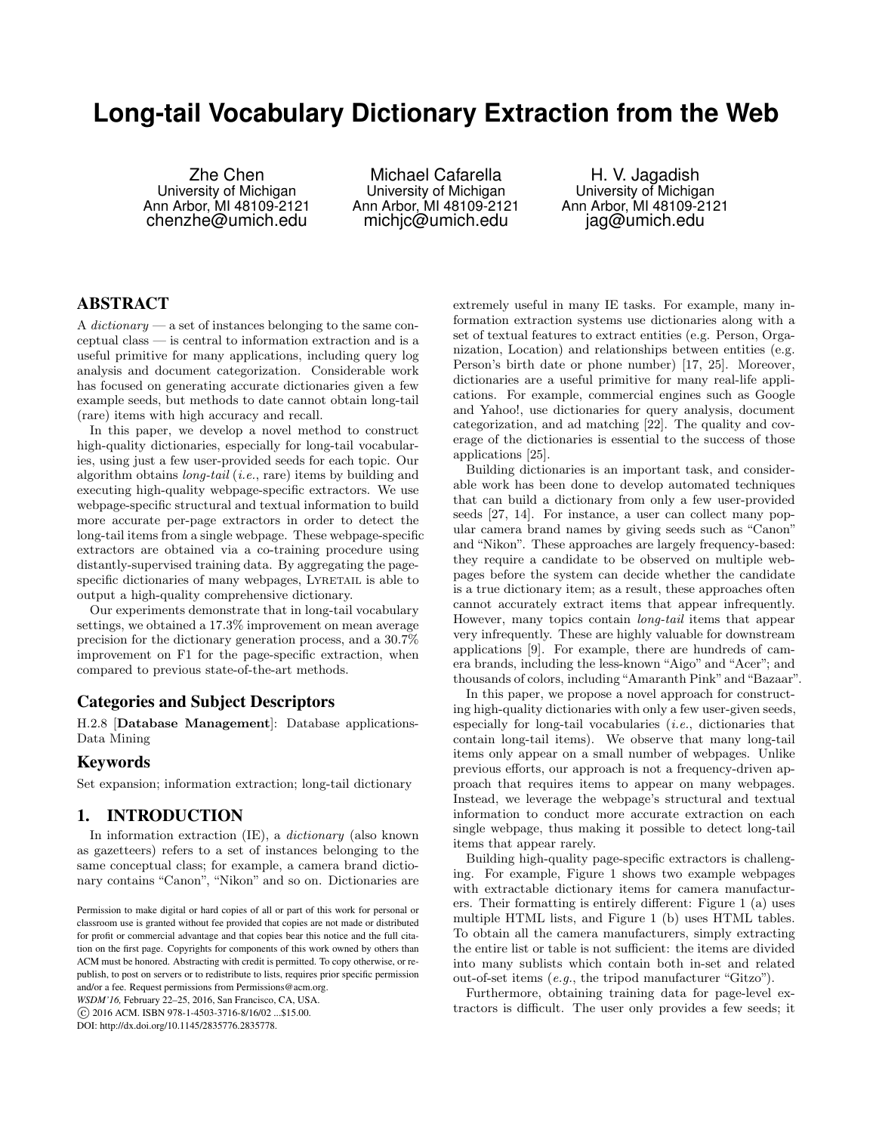# **Long-tail Vocabulary Dictionary Extraction from the Web**

Zhe Chen University of Michigan Ann Arbor, MI 48109-2121 chenzhe@umich.edu

Michael Cafarella University of Michigan Ann Arbor, MI 48109-2121 michjc@umich.edu

H. V. Jagadish University of Michigan Ann Arbor, MI 48109-2121 jag@umich.edu

# ABSTRACT

A dictionary  $-\infty$  set of instances belonging to the same conceptual class — is central to information extraction and is a useful primitive for many applications, including query log analysis and document categorization. Considerable work has focused on generating accurate dictionaries given a few example seeds, but methods to date cannot obtain long-tail (rare) items with high accuracy and recall.

In this paper, we develop a novel method to construct high-quality dictionaries, especially for long-tail vocabularies, using just a few user-provided seeds for each topic. Our algorithm obtains long-tail (i.e., rare) items by building and executing high-quality webpage-specific extractors. We use webpage-specific structural and textual information to build more accurate per-page extractors in order to detect the long-tail items from a single webpage. These webpage-specific extractors are obtained via a co-training procedure using distantly-supervised training data. By aggregating the pagespecific dictionaries of many webpages, LYRETAIL is able to output a high-quality comprehensive dictionary.

Our experiments demonstrate that in long-tail vocabulary settings, we obtained a 17.3% improvement on mean average precision for the dictionary generation process, and a 30.7% improvement on F1 for the page-specific extraction, when compared to previous state-of-the-art methods.

# Categories and Subject Descriptors

H.2.8 [Database Management]: Database applications-Data Mining

# Keywords

Set expansion; information extraction; long-tail dictionary

## 1. INTRODUCTION

In information extraction (IE), a dictionary (also known as gazetteers) refers to a set of instances belonging to the same conceptual class; for example, a camera brand dictionary contains "Canon", "Nikon" and so on. Dictionaries are

*WSDM'16,* February 22–25, 2016, San Francisco, CA, USA. c 2016 ACM. ISBN 978-1-4503-3716-8/16/02 ...\$15.00.

DOI: http://dx.doi.org/10.1145/2835776.2835778.

extremely useful in many IE tasks. For example, many information extraction systems use dictionaries along with a set of textual features to extract entities (e.g. Person, Organization, Location) and relationships between entities (e.g. Person's birth date or phone number) [17, 25]. Moreover, dictionaries are a useful primitive for many real-life applications. For example, commercial engines such as Google and Yahoo!, use dictionaries for query analysis, document categorization, and ad matching [22]. The quality and coverage of the dictionaries is essential to the success of those applications [25].

Building dictionaries is an important task, and considerable work has been done to develop automated techniques that can build a dictionary from only a few user-provided seeds [27, 14]. For instance, a user can collect many popular camera brand names by giving seeds such as "Canon" and "Nikon". These approaches are largely frequency-based: they require a candidate to be observed on multiple webpages before the system can decide whether the candidate is a true dictionary item; as a result, these approaches often cannot accurately extract items that appear infrequently. However, many topics contain long-tail items that appear very infrequently. These are highly valuable for downstream applications [9]. For example, there are hundreds of camera brands, including the less-known "Aigo" and "Acer"; and thousands of colors, including"Amaranth Pink"and"Bazaar".

In this paper, we propose a novel approach for constructing high-quality dictionaries with only a few user-given seeds, especially for long-tail vocabularies (i.e., dictionaries that contain long-tail items). We observe that many long-tail items only appear on a small number of webpages. Unlike previous efforts, our approach is not a frequency-driven approach that requires items to appear on many webpages. Instead, we leverage the webpage's structural and textual information to conduct more accurate extraction on each single webpage, thus making it possible to detect long-tail items that appear rarely.

Building high-quality page-specific extractors is challenging. For example, Figure 1 shows two example webpages with extractable dictionary items for camera manufacturers. Their formatting is entirely different: Figure 1 (a) uses multiple HTML lists, and Figure 1 (b) uses HTML tables. To obtain all the camera manufacturers, simply extracting the entire list or table is not sufficient: the items are divided into many sublists which contain both in-set and related out-of-set items (e.g., the tripod manufacturer "Gitzo").

Furthermore, obtaining training data for page-level extractors is difficult. The user only provides a few seeds; it

Permission to make digital or hard copies of all or part of this work for personal or classroom use is granted without fee provided that copies are not made or distributed for profit or commercial advantage and that copies bear this notice and the full citation on the first page. Copyrights for components of this work owned by others than ACM must be honored. Abstracting with credit is permitted. To copy otherwise, or republish, to post on servers or to redistribute to lists, requires prior specific permission and/or a fee. Request permissions from Permissions@acm.org.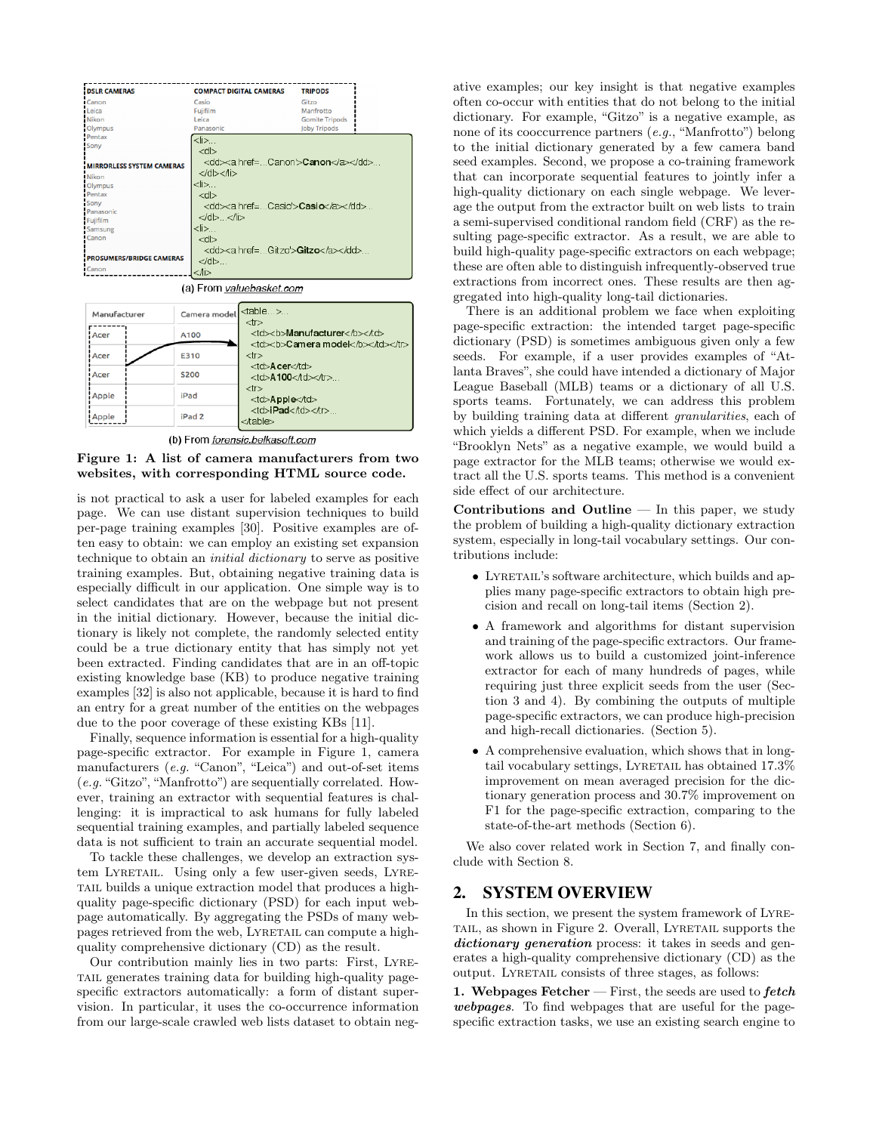

(a) From valuebasket.com

| Manufacturer | Camera model      | ltable><br>$<$ tr $>$                                  |                            |
|--------------|-------------------|--------------------------------------------------------|----------------------------|
| Acer         | A100              | <td><br/>b&gt;Manufacturer</td>                        | <br>b>Manufacturer         |
| i Acer       | E310              | <td><b><b>Camera model</b></b></td>                    | <b><b>Camera model</b></b> |
| i Acer       | <b>S200</b>       | <td>Acer</td><br>$<$ td $>$ A100 $<$ td $>$ $<$ tr $>$ | Acer                       |
| Apple        | iPad              | $<$ tr $>$<br><td>Apple</td>                           | Apple                      |
| Apple        | iPad <sub>2</sub> | <td>iPad</td>                                          | iPad                       |

(b) From forensic.belkasoft.com



is not practical to ask a user for labeled examples for each page. We can use distant supervision techniques to build per-page training examples [30]. Positive examples are often easy to obtain: we can employ an existing set expansion technique to obtain an initial dictionary to serve as positive training examples. But, obtaining negative training data is especially difficult in our application. One simple way is to select candidates that are on the webpage but not present in the initial dictionary. However, because the initial dictionary is likely not complete, the randomly selected entity could be a true dictionary entity that has simply not yet been extracted. Finding candidates that are in an off-topic existing knowledge base (KB) to produce negative training examples [32] is also not applicable, because it is hard to find an entry for a great number of the entities on the webpages due to the poor coverage of these existing KBs [11].

Finally, sequence information is essential for a high-quality page-specific extractor. For example in Figure 1, camera manufacturers (e.g. "Canon", "Leica") and out-of-set items (e.g."Gitzo", "Manfrotto") are sequentially correlated. However, training an extractor with sequential features is challenging: it is impractical to ask humans for fully labeled sequential training examples, and partially labeled sequence data is not sufficient to train an accurate sequential model.

To tackle these challenges, we develop an extraction system LYRETAIL. Using only a few user-given seeds, LYREtail builds a unique extraction model that produces a highquality page-specific dictionary (PSD) for each input webpage automatically. By aggregating the PSDs of many webpages retrieved from the web, LYRETAIL can compute a highquality comprehensive dictionary (CD) as the result.

Our contribution mainly lies in two parts: First, Lyretail generates training data for building high-quality pagespecific extractors automatically: a form of distant supervision. In particular, it uses the co-occurrence information from our large-scale crawled web lists dataset to obtain negative examples; our key insight is that negative examples often co-occur with entities that do not belong to the initial dictionary. For example, "Gitzo" is a negative example, as none of its cooccurrence partners (e.g., "Manfrotto") belong to the initial dictionary generated by a few camera band seed examples. Second, we propose a co-training framework that can incorporate sequential features to jointly infer a high-quality dictionary on each single webpage. We leverage the output from the extractor built on web lists to train a semi-supervised conditional random field (CRF) as the resulting page-specific extractor. As a result, we are able to build high-quality page-specific extractors on each webpage; these are often able to distinguish infrequently-observed true extractions from incorrect ones. These results are then aggregated into high-quality long-tail dictionaries.

There is an additional problem we face when exploiting page-specific extraction: the intended target page-specific dictionary (PSD) is sometimes ambiguous given only a few seeds. For example, if a user provides examples of "Atlanta Braves", she could have intended a dictionary of Major League Baseball (MLB) teams or a dictionary of all U.S. sports teams. Fortunately, we can address this problem by building training data at different granularities, each of which yields a different PSD. For example, when we include "Brooklyn Nets" as a negative example, we would build a page extractor for the MLB teams; otherwise we would extract all the U.S. sports teams. This method is a convenient side effect of our architecture.

Contributions and Outline  $-$  In this paper, we study the problem of building a high-quality dictionary extraction system, especially in long-tail vocabulary settings. Our contributions include:

- LYRETAIL's software architecture, which builds and applies many page-specific extractors to obtain high precision and recall on long-tail items (Section 2).
- A framework and algorithms for distant supervision and training of the page-specific extractors. Our framework allows us to build a customized joint-inference extractor for each of many hundreds of pages, while requiring just three explicit seeds from the user (Section 3 and 4). By combining the outputs of multiple page-specific extractors, we can produce high-precision and high-recall dictionaries. (Section 5).
- A comprehensive evaluation, which shows that in longtail vocabulary settings, LYRETAIL has obtained 17.3% improvement on mean averaged precision for the dictionary generation process and 30.7% improvement on F1 for the page-specific extraction, comparing to the state-of-the-art methods (Section 6).

We also cover related work in Section 7, and finally conclude with Section 8.

# 2. SYSTEM OVERVIEW

In this section, we present the system framework of Lyretail, as shown in Figure 2. Overall, Lyretail supports the dictionary generation process: it takes in seeds and generates a high-quality comprehensive dictionary (CD) as the output. LYRETAIL consists of three stages, as follows:

1. Webpages Fetcher  $-$  First, the seeds are used to  $fetch$ webpages. To find webpages that are useful for the pagespecific extraction tasks, we use an existing search engine to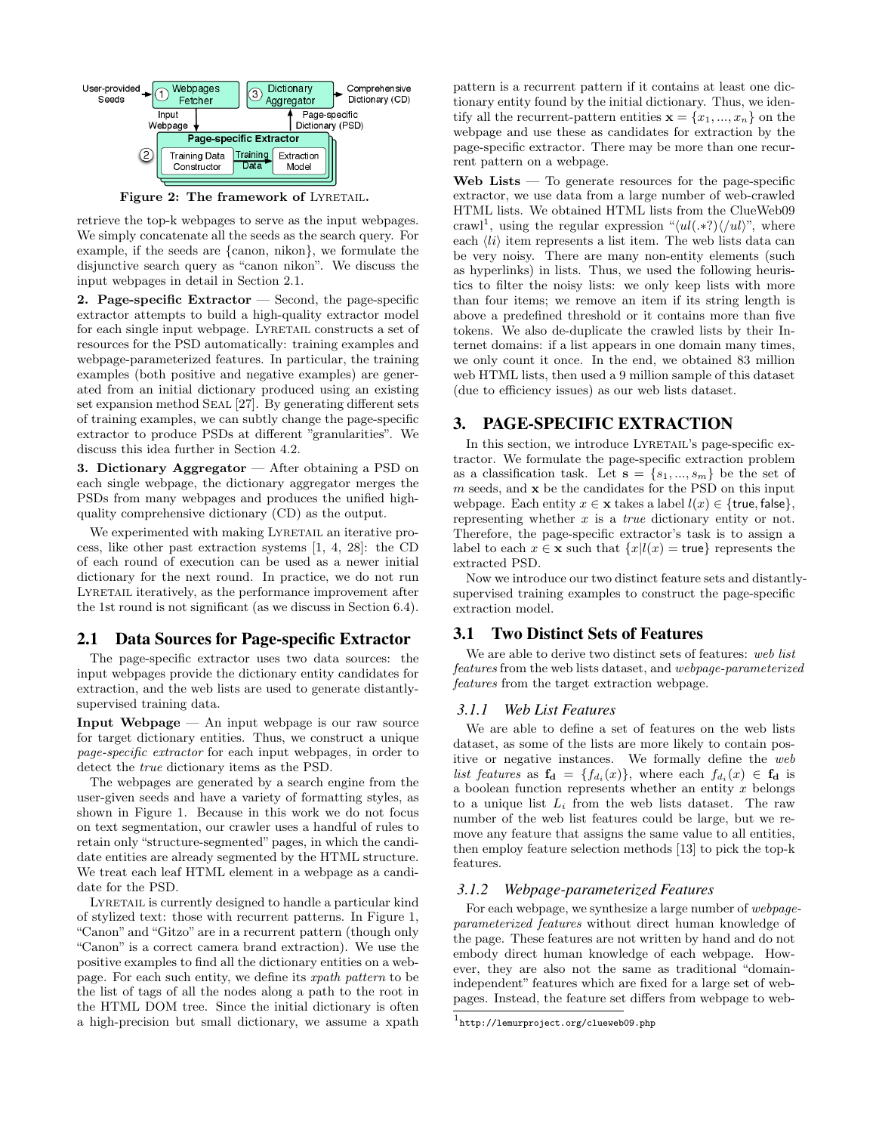

Figure 2: The framework of LYRETAIL.

retrieve the top-k webpages to serve as the input webpages. We simply concatenate all the seeds as the search query. For example, if the seeds are {canon, nikon}, we formulate the disjunctive search query as "canon nikon". We discuss the input webpages in detail in Section 2.1.

2. Page-specific Extractor — Second, the page-specific extractor attempts to build a high-quality extractor model for each single input webpage. LYRETAIL constructs a set of resources for the PSD automatically: training examples and webpage-parameterized features. In particular, the training examples (both positive and negative examples) are generated from an initial dictionary produced using an existing set expansion method SEAL [27]. By generating different sets of training examples, we can subtly change the page-specific extractor to produce PSDs at different "granularities". We discuss this idea further in Section 4.2.

3. Dictionary Aggregator — After obtaining a PSD on each single webpage, the dictionary aggregator merges the PSDs from many webpages and produces the unified highquality comprehensive dictionary (CD) as the output.

We experimented with making LYRETAIL an iterative process, like other past extraction systems [1, 4, 28]: the CD of each round of execution can be used as a newer initial dictionary for the next round. In practice, we do not run LYRETAIL iteratively, as the performance improvement after the 1st round is not significant (as we discuss in Section 6.4).

#### 2.1 Data Sources for Page-specific Extractor

The page-specific extractor uses two data sources: the input webpages provide the dictionary entity candidates for extraction, and the web lists are used to generate distantlysupervised training data.

**Input Webpage**  $-$  An input webpage is our raw source for target dictionary entities. Thus, we construct a unique page-specific extractor for each input webpages, in order to detect the true dictionary items as the PSD.

The webpages are generated by a search engine from the user-given seeds and have a variety of formatting styles, as shown in Figure 1. Because in this work we do not focus on text segmentation, our crawler uses a handful of rules to retain only "structure-segmented" pages, in which the candidate entities are already segmented by the HTML structure. We treat each leaf HTML element in a webpage as a candidate for the PSD.

LYRETAIL is currently designed to handle a particular kind of stylized text: those with recurrent patterns. In Figure 1, "Canon" and "Gitzo" are in a recurrent pattern (though only "Canon" is a correct camera brand extraction). We use the positive examples to find all the dictionary entities on a webpage. For each such entity, we define its xpath pattern to be the list of tags of all the nodes along a path to the root in the HTML DOM tree. Since the initial dictionary is often a high-precision but small dictionary, we assume a xpath pattern is a recurrent pattern if it contains at least one dictionary entity found by the initial dictionary. Thus, we identify all the recurrent-pattern entities  $\mathbf{x} = \{x_1, ..., x_n\}$  on the webpage and use these as candidates for extraction by the page-specific extractor. There may be more than one recurrent pattern on a webpage.

Web Lists — To generate resources for the page-specific extractor, we use data from a large number of web-crawled HTML lists. We obtained HTML lists from the ClueWeb09 crawl<sup>1</sup>, using the regular expression " $\langle ul(*?)\rangle\langle ul,*]$ ", where each  $\langle li \rangle$  item represents a list item. The web lists data can be very noisy. There are many non-entity elements (such as hyperlinks) in lists. Thus, we used the following heuristics to filter the noisy lists: we only keep lists with more than four items; we remove an item if its string length is above a predefined threshold or it contains more than five tokens. We also de-duplicate the crawled lists by their Internet domains: if a list appears in one domain many times, we only count it once. In the end, we obtained 83 million web HTML lists, then used a 9 million sample of this dataset (due to efficiency issues) as our web lists dataset.

# 3. PAGE-SPECIFIC EXTRACTION

In this section, we introduce LYRETAIL's page-specific extractor. We formulate the page-specific extraction problem as a classification task. Let  $s = \{s_1, ..., s_m\}$  be the set of  $m$  seeds, and  $x$  be the candidates for the PSD on this input webpage. Each entity  $x \in \mathbf{x}$  takes a label  $l(x) \in \{\text{true}, \text{false}\},$ representing whether  $x$  is a *true* dictionary entity or not. Therefore, the page-specific extractor's task is to assign a label to each  $x \in \mathbf{x}$  such that  $\{x|l(x) = \mathsf{true}\}\)$  represents the extracted PSD.

Now we introduce our two distinct feature sets and distantlysupervised training examples to construct the page-specific extraction model.

## 3.1 Two Distinct Sets of Features

We are able to derive two distinct sets of features: web list features from the web lists dataset, and webpage-parameterized features from the target extraction webpage.

#### *3.1.1 Web List Features*

We are able to define a set of features on the web lists dataset, as some of the lists are more likely to contain positive or negative instances. We formally define the web list features as  $f_d = \{f_{d_i}(x)\}\$ , where each  $f_{d_i}(x) \in f_d$  is a boolean function represents whether an entity  $x$  belongs to a unique list  $L_i$  from the web lists dataset. The raw number of the web list features could be large, but we remove any feature that assigns the same value to all entities, then employ feature selection methods [13] to pick the top-k features.

#### *3.1.2 Webpage-parameterized Features*

For each webpage, we synthesize a large number of webpageparameterized features without direct human knowledge of the page. These features are not written by hand and do not embody direct human knowledge of each webpage. However, they are also not the same as traditional "domainindependent" features which are fixed for a large set of webpages. Instead, the feature set differs from webpage to web-

 $^{\rm 1}$ http://lemurproject.org/clueweb09.php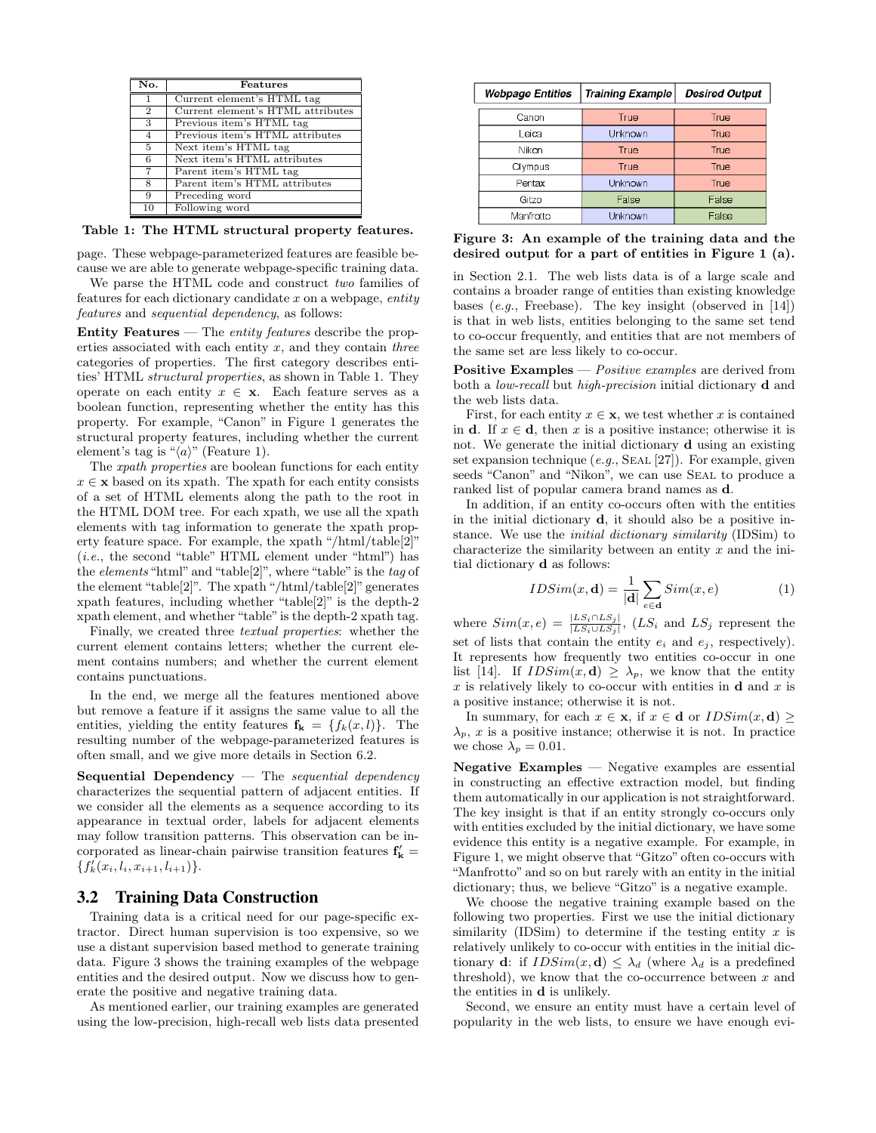| No.             | Features                          |
|-----------------|-----------------------------------|
| $\overline{1}$  | Current element's HTML tag        |
| $\overline{2}$  | Current element's HTML attributes |
| 3               | Previous item's HTML tag          |
| $\overline{4}$  | Previous item's HTML attributes   |
| $\overline{5}$  | Next item's HTML tag              |
| $6\overline{6}$ | Next item's HTML attributes       |
| $\overline{7}$  | Parent item's HTML tag            |
| 8               | Parent item's HTML attributes     |
| 9               | Preceding word                    |
| 10              | Following word                    |

Table 1: The HTML structural property features.

page. These webpage-parameterized features are feasible because we are able to generate webpage-specific training data.

We parse the HTML code and construct two families of features for each dictionary candidate  $x$  on a webpage, entity features and sequential dependency, as follows:

**Entity Features** — The *entity features* describe the properties associated with each entity  $x$ , and they contain three categories of properties. The first category describes entities' HTML structural properties, as shown in Table 1. They operate on each entity  $x \in \mathbf{x}$ . Each feature serves as a boolean function, representing whether the entity has this property. For example, "Canon" in Figure 1 generates the structural property features, including whether the current element's tag is " $\langle a \rangle$ " (Feature 1).

The xpath properties are boolean functions for each entity  $x \in \mathbf{x}$  based on its xpath. The xpath for each entity consists of a set of HTML elements along the path to the root in the HTML DOM tree. For each xpath, we use all the xpath elements with tag information to generate the xpath property feature space. For example, the xpath "/html/table[2]" (i.e., the second "table" HTML element under "html") has the *elements* "html" and "table[2]", where "table" is the tag of the element "table[2]". The xpath "/html/table[2]" generates xpath features, including whether "table[2]" is the depth-2 xpath element, and whether "table"is the depth-2 xpath tag.

Finally, we created three textual properties: whether the current element contains letters; whether the current element contains numbers; and whether the current element contains punctuations.

In the end, we merge all the features mentioned above but remove a feature if it assigns the same value to all the entities, yielding the entity features  $f_k = \{f_k(x, l)\}\$ . The resulting number of the webpage-parameterized features is often small, and we give more details in Section 6.2.

Sequential Dependency  $-$  The sequential dependency characterizes the sequential pattern of adjacent entities. If we consider all the elements as a sequence according to its appearance in textual order, labels for adjacent elements may follow transition patterns. This observation can be incorporated as linear-chain pairwise transition features  $\mathbf{f}'_{\mathbf{k}}=$  $\{f'_k(x_i, l_i, x_{i+1}, l_{i+1})\}.$ 

# 3.2 Training Data Construction

Training data is a critical need for our page-specific extractor. Direct human supervision is too expensive, so we use a distant supervision based method to generate training data. Figure 3 shows the training examples of the webpage entities and the desired output. Now we discuss how to generate the positive and negative training data.

As mentioned earlier, our training examples are generated using the low-precision, high-recall web lists data presented

| <b>Webpage Entities</b> | <b>Training Example</b> | <b>Desired Output</b> |  |
|-------------------------|-------------------------|-----------------------|--|
| Canon                   | True                    | True                  |  |
| Leica                   | Unknown                 | True                  |  |
| Nikon                   | True                    | True                  |  |
| Olympus                 | True                    | True                  |  |
| Pentax                  | Unknown                 | True                  |  |
| Gitzo                   | False<br>False          |                       |  |
| Manfrotto               | Unknown                 | False                 |  |

Figure 3: An example of the training data and the desired output for a part of entities in Figure 1 (a).

in Section 2.1. The web lists data is of a large scale and contains a broader range of entities than existing knowledge bases  $(e.g.,\text{Freebase})$ . The key insight (observed in [14]) is that in web lists, entities belonging to the same set tend to co-occur frequently, and entities that are not members of the same set are less likely to co-occur.

**Positive Examples** — *Positive examples* are derived from both a low-recall but high-precision initial dictionary d and the web lists data.

First, for each entity  $x \in \mathbf{x}$ , we test whether x is contained in **d**. If  $x \in \mathbf{d}$ , then x is a positive instance; otherwise it is not. We generate the initial dictionary d using an existing set expansion technique  $(e.g., \text{SEAL} [27])$ . For example, given seeds "Canon" and "Nikon", we can use SEAL to produce a ranked list of popular camera brand names as d.

In addition, if an entity co-occurs often with the entities in the initial dictionary d, it should also be a positive instance. We use the initial dictionary similarity (IDSim) to characterize the similarity between an entity  $x$  and the initial dictionary d as follows:

$$
IDSim(x, \mathbf{d}) = \frac{1}{|\mathbf{d}|} \sum_{e \in \mathbf{d}} Sim(x, e)
$$
 (1)

where  $Sim(x, e) = \frac{|LS_i \cap LS_j|}{|LS_i \cup LS_j|}$ ,  $(LS_i$  and  $LS_j$  represent the set of lists that contain the entity  $e_i$  and  $e_j$ , respectively). It represents how frequently two entities co-occur in one list [14]. If  $IDSim(x, d) \geq \lambda_p$ , we know that the entity x is relatively likely to co-occur with entities in  $\bf{d}$  and x is a positive instance; otherwise it is not.

In summary, for each  $x \in \mathbf{x}$ , if  $x \in \mathbf{d}$  or  $IDSim(x, \mathbf{d}) \ge$  $\lambda_p$ , x is a positive instance; otherwise it is not. In practice we chose  $\lambda_p = 0.01$ .

Negative Examples — Negative examples are essential in constructing an effective extraction model, but finding them automatically in our application is not straightforward. The key insight is that if an entity strongly co-occurs only with entities excluded by the initial dictionary, we have some evidence this entity is a negative example. For example, in Figure 1, we might observe that "Gitzo" often co-occurs with "Manfrotto" and so on but rarely with an entity in the initial dictionary; thus, we believe "Gitzo" is a negative example.

We choose the negative training example based on the following two properties. First we use the initial dictionary similarity (IDSim) to determine if the testing entity  $x$  is relatively unlikely to co-occur with entities in the initial dictionary **d**: if  $IDSim(x, \mathbf{d}) \leq \lambda_d$  (where  $\lambda_d$  is a predefined threshold), we know that the co-occurrence between  $x$  and the entities in d is unlikely.

Second, we ensure an entity must have a certain level of popularity in the web lists, to ensure we have enough evi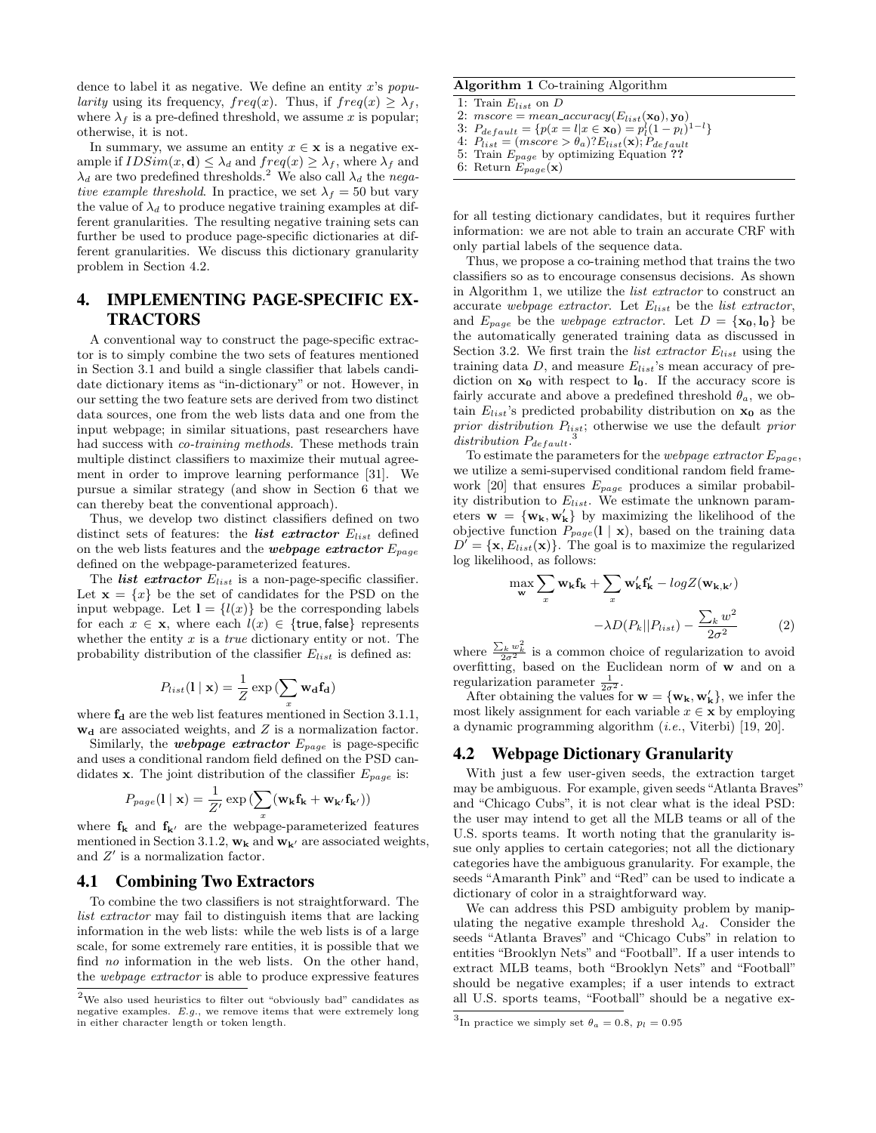dence to label it as negative. We define an entity x's popularity using its frequency,  $freq(x)$ . Thus, if  $freq(x) \geq \lambda_f$ , where  $\lambda_f$  is a pre-defined threshold, we assume x is popular; otherwise, it is not.

In summary, we assume an entity  $x \in \mathbf{x}$  is a negative example if  $IDSim(x, d) \leq \lambda_d$  and  $freq(x) \geq \lambda_f$ , where  $\lambda_f$  and  $\lambda_d$  are two predefined thresholds.<sup>2</sup> We also call  $\lambda_d$  the negative example threshold. In practice, we set  $\lambda_f = 50$  but vary the value of  $\lambda_d$  to produce negative training examples at different granularities. The resulting negative training sets can further be used to produce page-specific dictionaries at different granularities. We discuss this dictionary granularity problem in Section 4.2.

# 4. IMPLEMENTING PAGE-SPECIFIC EX-TRACTORS

A conventional way to construct the page-specific extractor is to simply combine the two sets of features mentioned in Section 3.1 and build a single classifier that labels candidate dictionary items as "in-dictionary" or not. However, in our setting the two feature sets are derived from two distinct data sources, one from the web lists data and one from the input webpage; in similar situations, past researchers have had success with *co-training methods*. These methods train multiple distinct classifiers to maximize their mutual agreement in order to improve learning performance [31]. We pursue a similar strategy (and show in Section 6 that we can thereby beat the conventional approach).

Thus, we develop two distinct classifiers defined on two distinct sets of features: the *list extractor*  $E_{list}$  defined on the web lists features and the *webpage extractor*  $E_{page}$ defined on the webpage-parameterized features.

The *list extractor*  $E_{list}$  is a non-page-specific classifier. Let  $\mathbf{x} = \{x\}$  be the set of candidates for the PSD on the input webpage. Let  $I = \{l(x)\}\$ be the corresponding labels for each  $x \in \mathbf{x}$ , where each  $l(x) \in \{$ true, false} represents whether the entity  $x$  is a *true* dictionary entity or not. The probability distribution of the classifier  $E_{list}$  is defined as:

$$
P_{list}(\mathbf{l} \mid \mathbf{x}) = \frac{1}{Z} \exp \left( \sum_{x} \mathbf{w_d} \mathbf{f_d} \right)
$$

where  $f_d$  are the web list features mentioned in Section 3.1.1,  $w_d$  are associated weights, and  $Z$  is a normalization factor.

Similarly, the **webpage extractor**  $E_{page}$  is page-specific and uses a conditional random field defined on the PSD candidates x. The joint distribution of the classifier  $E_{page}$  is:

$$
P_{page}(\mathbf{l} \mid \mathbf{x}) = \frac{1}{Z'} \exp \left( \sum_{x} (\mathbf{w_k} \mathbf{f_k} + \mathbf{w_{k'}} \mathbf{f_{k'}}) \right)
$$

where  $f_k$  and  $f_{k'}$  are the webpage-parameterized features mentioned in Section 3.1.2,  $\mathbf{w}_k$  and  $\mathbf{w}_{k'}$  are associated weights, and  $Z'$  is a normalization factor.

## 4.1 Combining Two Extractors

To combine the two classifiers is not straightforward. The list extractor may fail to distinguish items that are lacking information in the web lists: while the web lists is of a large scale, for some extremely rare entities, it is possible that we find no information in the web lists. On the other hand, the webpage extractor is able to produce expressive features

#### Algorithm 1 Co-training Algorithm

1: Train  $E_{list}$  on  $D$ 

2:  $mscore = mean\_accuracy(E_{list}(\mathbf{x_0}), \mathbf{y_0})$ 

3:  $P_{default} = \{p(x = l | x \in \mathbf{x_0}) = p_l^l (1 - p_l)^{1 - l}\}\$ 

4:  $P_{list} = (mscore > \theta_a)?E_{list}(\mathbf{x});$   $P_{default}$ 5: Train  $E_{page}$  by optimizing Equation ??

for all testing dictionary candidates, but it requires further information: we are not able to train an accurate CRF with only partial labels of the sequence data.

Thus, we propose a co-training method that trains the two classifiers so as to encourage consensus decisions. As shown in Algorithm 1, we utilize the list extractor to construct an accurate webpage extractor. Let  $E_{list}$  be the list extractor, and  $E_{page}$  be the webpage extractor. Let  $D = {\mathbf{x_0}, \mathbf{l_0}}$  be the automatically generated training data as discussed in Section 3.2. We first train the *list extractor*  $E_{list}$  using the training data D, and measure  $E_{list}$ 's mean accuracy of prediction on  $x_0$  with respect to  $l_0$ . If the accuracy score is fairly accurate and above a predefined threshold  $\theta_a$ , we obtain  $E_{list}$ 's predicted probability distribution on  $x_0$  as the prior distribution  $P_{list}$ ; otherwise we use the default prior distribution  $P_{default}$ <sup>3</sup>

To estimate the parameters for the *webpage extractor*  $E_{page}$ , we utilize a semi-supervised conditional random field framework [20] that ensures  $E_{page}$  produces a similar probability distribution to  $E_{list}$ . We estimate the unknown parameters  $\mathbf{w} = \{w_k, w'_k\}$  by maximizing the likelihood of the objective function  $P_{page}(l | \mathbf{x})$ , based on the training data  $D' = {\mathbf{x}, E_{list}(\mathbf{x})}.$  The goal is to maximize the regularized log likelihood, as follows:

$$
\max_{\mathbf{w}} \sum_{x} \mathbf{w}_{\mathbf{k}} \mathbf{f}_{\mathbf{k}} + \sum_{x} \mathbf{w}'_{\mathbf{k}} \mathbf{f}'_{\mathbf{k}} - logZ(\mathbf{w}_{\mathbf{k}, \mathbf{k}'})
$$

$$
-\lambda D(P_k || P_{list}) - \frac{\sum_{k} w^2}{2\sigma^2} \tag{2}
$$

where  $\frac{\sum_k w_k^2}{2\sigma^2}$  is a common choice of regularization to avoid overfitting, based on the Euclidean norm of **w** and on a regularization parameter  $\frac{1}{2\sigma^2}$ .

After obtaining the values for  $\mathbf{w} = {\mathbf{w}_k, \mathbf{w}'_k}$ , we infer the most likely assignment for each variable  $x \in \mathbf{x}$  by employing a dynamic programming algorithm (i.e., Viterbi) [19, 20].

# 4.2 Webpage Dictionary Granularity

With just a few user-given seeds, the extraction target may be ambiguous. For example, given seeds "Atlanta Braves" and "Chicago Cubs", it is not clear what is the ideal PSD: the user may intend to get all the MLB teams or all of the U.S. sports teams. It worth noting that the granularity issue only applies to certain categories; not all the dictionary categories have the ambiguous granularity. For example, the seeds "Amaranth Pink" and "Red" can be used to indicate a dictionary of color in a straightforward way.

We can address this PSD ambiguity problem by manipulating the negative example threshold  $\lambda_d$ . Consider the seeds "Atlanta Braves" and "Chicago Cubs" in relation to entities "Brooklyn Nets" and "Football". If a user intends to extract MLB teams, both "Brooklyn Nets" and "Football" should be negative examples; if a user intends to extract all U.S. sports teams, "Football" should be a negative ex-

 $^2\mathrm{We}$  also used heuristics to filter out "obviously bad" candidates as negative examples. E.g., we remove items that were extremely long in either character length or token length.

<sup>6:</sup> Return  $E_{page}(\mathbf{x})$ 

<sup>&</sup>lt;sup>3</sup>In practice we simply set  $\theta_a = 0.8$ ,  $p_l = 0.95$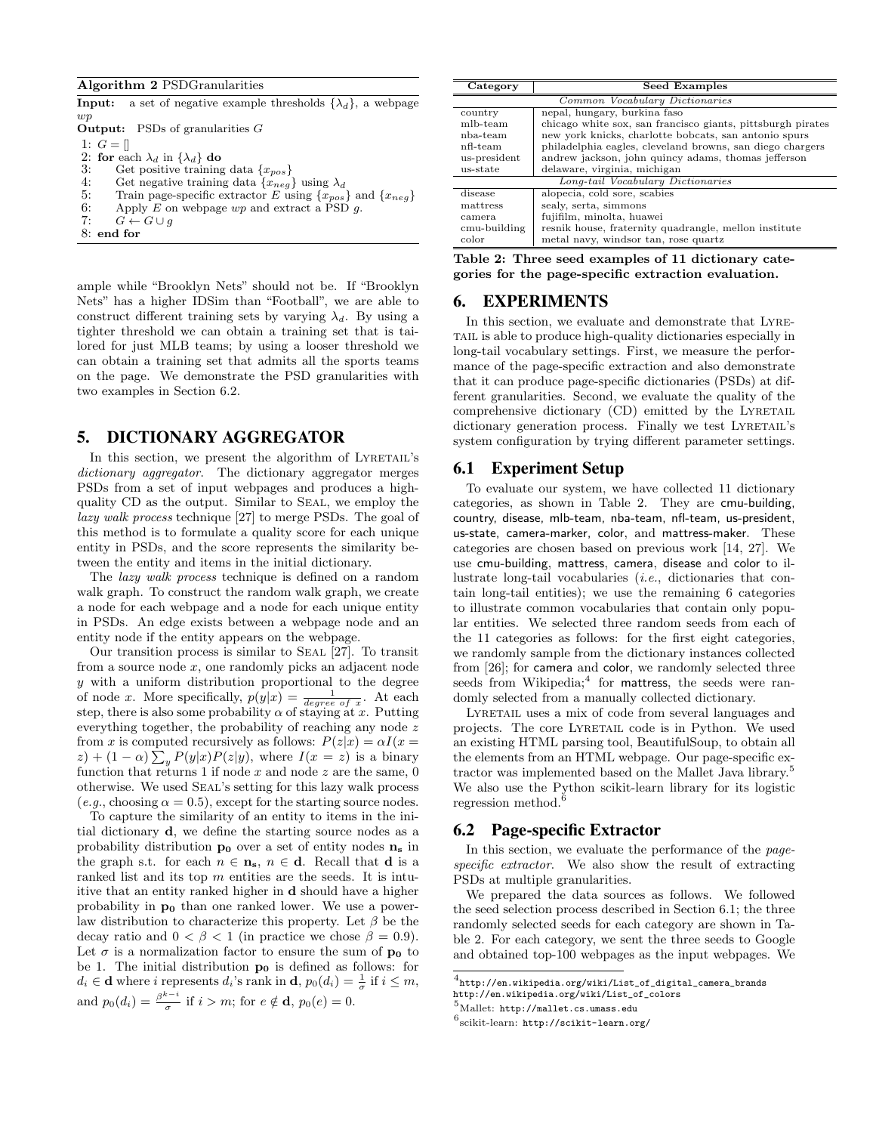Algorithm 2 PSDGranularities

| a set of negative example thresholds $\{\lambda_d\}$ , a webpage<br>Input:    |
|-------------------------------------------------------------------------------|
| wp                                                                            |
| <b>Output:</b> PSDs of granularities $G$                                      |
| 1: $G = \vert \vert$                                                          |
| 2: for each $\lambda_d$ in $\{\lambda_d\}$ do                                 |
| 3:<br>Get positive training data $\{x_{pos}\}\$                               |
| 4:<br>Get negative training data $\{x_{neq}\}\$ using $\lambda_d$             |
| 5:<br>Train page-specific extractor E using $\{x_{pos}\}\$ and $\{x_{neg}\}\$ |
| 6:<br>Apply E on webpage $wp$ and extract a PSD q.                            |
| 7:<br>$G \leftarrow G \cup q$                                                 |
| 8: end for                                                                    |

ample while "Brooklyn Nets" should not be. If "Brooklyn Nets" has a higher IDSim than "Football", we are able to construct different training sets by varying  $\lambda_d$ . By using a tighter threshold we can obtain a training set that is tailored for just MLB teams; by using a looser threshold we can obtain a training set that admits all the sports teams on the page. We demonstrate the PSD granularities with two examples in Section 6.2.

#### 5. DICTIONARY AGGREGATOR

In this section, we present the algorithm of LYRETAIL's dictionary aggregator. The dictionary aggregator merges PSDs from a set of input webpages and produces a highquality CD as the output. Similar to Seal, we employ the lazy walk process technique [27] to merge PSDs. The goal of this method is to formulate a quality score for each unique entity in PSDs, and the score represents the similarity between the entity and items in the initial dictionary.

The lazy walk process technique is defined on a random walk graph. To construct the random walk graph, we create a node for each webpage and a node for each unique entity in PSDs. An edge exists between a webpage node and an entity node if the entity appears on the webpage.

Our transition process is similar to Seal [27]. To transit from a source node  $x$ , one randomly picks an adjacent node y with a uniform distribution proportional to the degree of node x. More specifically,  $p(y|x) = \frac{1}{degree\ of\ x}$ . At each step, there is also some probability  $\alpha$  of staying at x. Putting everything together, the probability of reaching any node z from x is computed recursively as follows:  $P(z|x) = \alpha I(x =$  $(z) + (1 - \alpha) \sum_{y} P(y|x)P(z|y)$ , where  $I(x = z)$  is a binary function that returns 1 if node  $x$  and node  $z$  are the same, 0 otherwise. We used Seal's setting for this lazy walk process  $(e.g., choosing \alpha = 0.5)$ , except for the starting source nodes.

To capture the similarity of an entity to items in the initial dictionary d, we define the starting source nodes as a probability distribution  $p_0$  over a set of entity nodes  $n_s$  in the graph s.t. for each  $n \in \mathbf{n}_s$ ,  $n \in \mathbf{d}$ . Recall that **d** is a ranked list and its top  $m$  entities are the seeds. It is intuitive that an entity ranked higher in d should have a higher probability in  $p_0$  than one ranked lower. We use a powerlaw distribution to characterize this property. Let  $\beta$  be the decay ratio and  $0 < \beta < 1$  (in practice we chose  $\beta = 0.9$ ). Let  $\sigma$  is a normalization factor to ensure the sum of  $p_0$  to be 1. The initial distribution  $p_0$  is defined as follows: for  $d_i \in \mathbf{d}$  where i represents  $d_i$ 's rank in  $\mathbf{d}$ ,  $p_0(d_i) = \frac{1}{\sigma}$  if  $i \leq m$ , and  $p_0(d_i) = \frac{\beta^{k-i}}{\sigma}$  $\frac{\partial}{\partial \sigma}$  if  $i > m$ ; for  $e \notin \mathbf{d}$ ,  $p_0(e) = 0$ .

| Category                       | <b>Seed Examples</b>                                        |  |
|--------------------------------|-------------------------------------------------------------|--|
| Common Vocabulary Dictionaries |                                                             |  |
| country                        | nepal, hungary, burkina faso                                |  |
| mlb-team                       | chicago white sox, san francisco giants, pittsburgh pirates |  |
| nba-team                       | new york knicks, charlotte bobcats, san antonio spurs       |  |
| nfl-team                       | philadelphia eagles, cleveland browns, san diego chargers   |  |
| us-president                   | andrew jackson, john quincy adams, thomas jefferson         |  |
| us-state                       | delaware, virginia, michigan                                |  |
|                                | Long-tail Vocabulary Dictionaries                           |  |
| disease                        | alopecia, cold sore, scabies                                |  |
| mattress                       | sealy, serta, simmons                                       |  |
| camera.                        | fujifilm, minolta, huawei                                   |  |
| cmu-building                   | resnik house, fraternity quadrangle, mellon institute       |  |
| color                          | metal navy, windsor tan, rose quartz                        |  |

| Table 2: Three seed examples of 11 dictionary cate- |  |
|-----------------------------------------------------|--|
| gories for the page-specific extraction evaluation. |  |

### 6. EXPERIMENTS

In this section, we evaluate and demonstrate that Lyretail is able to produce high-quality dictionaries especially in long-tail vocabulary settings. First, we measure the performance of the page-specific extraction and also demonstrate that it can produce page-specific dictionaries (PSDs) at different granularities. Second, we evaluate the quality of the comprehensive dictionary (CD) emitted by the LYRETAIL dictionary generation process. Finally we test LYRETAIL's system configuration by trying different parameter settings.

#### 6.1 Experiment Setup

To evaluate our system, we have collected 11 dictionary categories, as shown in Table 2. They are cmu-building, country, disease, mlb-team, nba-team, nfl-team, us-president, us-state, camera-marker, color, and mattress-maker. These categories are chosen based on previous work [14, 27]. We use cmu-building, mattress, camera, disease and color to illustrate long-tail vocabularies (i.e., dictionaries that contain long-tail entities); we use the remaining 6 categories to illustrate common vocabularies that contain only popular entities. We selected three random seeds from each of the 11 categories as follows: for the first eight categories, we randomly sample from the dictionary instances collected from [26]; for camera and color, we randomly selected three seeds from Wikipedia;<sup>4</sup> for mattress, the seeds were randomly selected from a manually collected dictionary.

Lyretail uses a mix of code from several languages and projects. The core Lyretail code is in Python. We used an existing HTML parsing tool, BeautifulSoup, to obtain all the elements from an HTML webpage. Our page-specific extractor was implemented based on the Mallet Java library.<sup>5</sup> We also use the Python scikit-learn library for its logistic regression method.<sup>6</sup>

#### 6.2 Page-specific Extractor

In this section, we evaluate the performance of the pagespecific extractor. We also show the result of extracting PSDs at multiple granularities.

We prepared the data sources as follows. We followed the seed selection process described in Section 6.1; the three randomly selected seeds for each category are shown in Table 2. For each category, we sent the three seeds to Google and obtained top-100 webpages as the input webpages. We

 $^4$ http://en.wikipedia.org/wiki/List\_of\_digital\_camera\_brands

http://en.wikipedia.org/wiki/List\_of\_colors <sup>5</sup>Mallet: http://mallet.cs.umass.edu

 $^6$ scikit-learn: http://scikit-learn.org/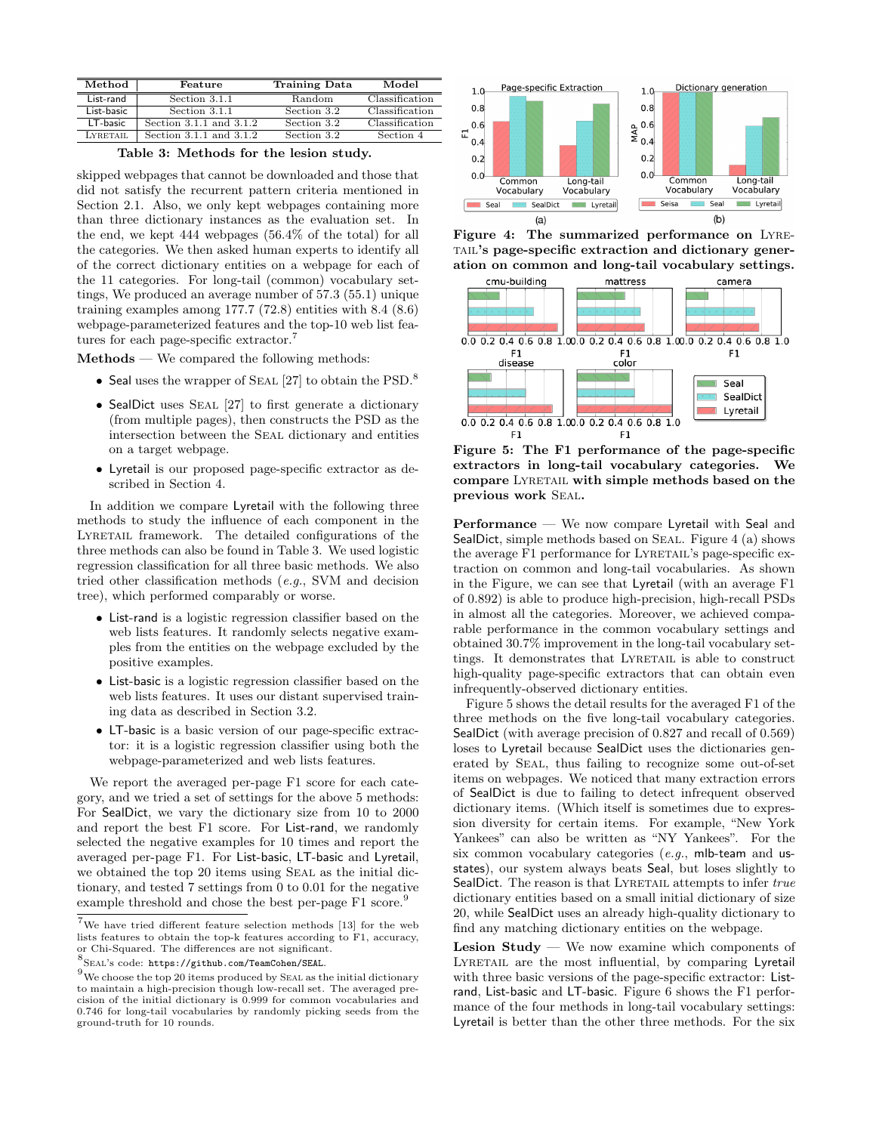| Method     | Feature                     | <b>Training Data</b> | Model          |
|------------|-----------------------------|----------------------|----------------|
| List-rand  | Section 3.1.1               | Random               | Classification |
| List-basic | Section 3.1.1               | Section 3.2          | Classification |
| LT-basic   | Section $3.1.1$ and $3.1.2$ | Section 3.2          | Classification |
| LYRETAIL   | Section $3.1.1$ and $3.1.2$ | Section 3.2          | Section 4      |

Table 3: Methods for the lesion study.

skipped webpages that cannot be downloaded and those that did not satisfy the recurrent pattern criteria mentioned in Section 2.1. Also, we only kept webpages containing more than three dictionary instances as the evaluation set. In the end, we kept 444 webpages (56.4% of the total) for all the categories. We then asked human experts to identify all of the correct dictionary entities on a webpage for each of the 11 categories. For long-tail (common) vocabulary settings, We produced an average number of 57.3 (55.1) unique training examples among 177.7 (72.8) entities with 8.4 (8.6) webpage-parameterized features and the top-10 web list features for each page-specific extractor.<sup>7</sup>

Methods — We compared the following methods:

- Seal uses the wrapper of SEAL [27] to obtain the PSD.<sup>8</sup>
- SealDict uses SEAL [27] to first generate a dictionary (from multiple pages), then constructs the PSD as the intersection between the Seal dictionary and entities on a target webpage.
- Lyretail is our proposed page-specific extractor as described in Section 4.

In addition we compare Lyretail with the following three methods to study the influence of each component in the LYRETAIL framework. The detailed configurations of the three methods can also be found in Table 3. We used logistic regression classification for all three basic methods. We also tried other classification methods (e.g., SVM and decision tree), which performed comparably or worse.

- List-rand is a logistic regression classifier based on the web lists features. It randomly selects negative examples from the entities on the webpage excluded by the positive examples.
- List-basic is a logistic regression classifier based on the web lists features. It uses our distant supervised training data as described in Section 3.2.
- LT-basic is a basic version of our page-specific extractor: it is a logistic regression classifier using both the webpage-parameterized and web lists features.

We report the averaged per-page F1 score for each category, and we tried a set of settings for the above 5 methods: For SealDict, we vary the dictionary size from 10 to 2000 and report the best F1 score. For List-rand, we randomly selected the negative examples for 10 times and report the averaged per-page F1. For List-basic, LT-basic and Lyretail, we obtained the top 20 items using Seal as the initial dictionary, and tested 7 settings from 0 to 0.01 for the negative example threshold and chose the best per-page F1 score.<sup>9</sup>



Figure 4: The summarized performance on Lyre-TAIL's page-specific extraction and dictionary generation on common and long-tail vocabulary settings.



Figure 5: The F1 performance of the page-specific extractors in long-tail vocabulary categories. We compare Lyretail with simple methods based on the previous work Seal.

Performance — We now compare Lyretail with Seal and SealDict, simple methods based on SEAL. Figure 4 (a) shows the average F1 performance for LYRETAIL's page-specific extraction on common and long-tail vocabularies. As shown in the Figure, we can see that Lyretail (with an average F1 of 0.892) is able to produce high-precision, high-recall PSDs in almost all the categories. Moreover, we achieved comparable performance in the common vocabulary settings and obtained 30.7% improvement in the long-tail vocabulary settings. It demonstrates that LYRETAIL is able to construct high-quality page-specific extractors that can obtain even infrequently-observed dictionary entities.

Figure 5 shows the detail results for the averaged F1 of the three methods on the five long-tail vocabulary categories. SealDict (with average precision of 0.827 and recall of 0.569) loses to Lyretail because SealDict uses the dictionaries generated by Seal, thus failing to recognize some out-of-set items on webpages. We noticed that many extraction errors of SealDict is due to failing to detect infrequent observed dictionary items. (Which itself is sometimes due to expression diversity for certain items. For example, "New York Yankees" can also be written as "NY Yankees". For the six common vocabulary categories (e.g., mlb-team and usstates), our system always beats Seal, but loses slightly to SealDict. The reason is that LYRETAIL attempts to infer true dictionary entities based on a small initial dictionary of size 20, while SealDict uses an already high-quality dictionary to find any matching dictionary entities on the webpage.

**Lesion Study** — We now examine which components of Lyretail are the most influential, by comparing Lyretail with three basic versions of the page-specific extractor: Listrand, List-basic and LT-basic. Figure 6 shows the F1 performance of the four methods in long-tail vocabulary settings: Lyretail is better than the other three methods. For the six

 $7$ We have tried different feature selection methods [13] for the web lists features to obtain the top-k features according to F1, accuracy, or Chi-Squared. The differences are not significant.

<sup>8</sup> Seal's code: https://github.com/TeamCohen/SEAL.

 $^9\rm{We}$  choose the top 20 items produced by SEAL as the initial dictionary to maintain a high-precision though low-recall set. The averaged precision of the initial dictionary is 0.999 for common vocabularies and 0.746 for long-tail vocabularies by randomly picking seeds from the ground-truth for 10 rounds.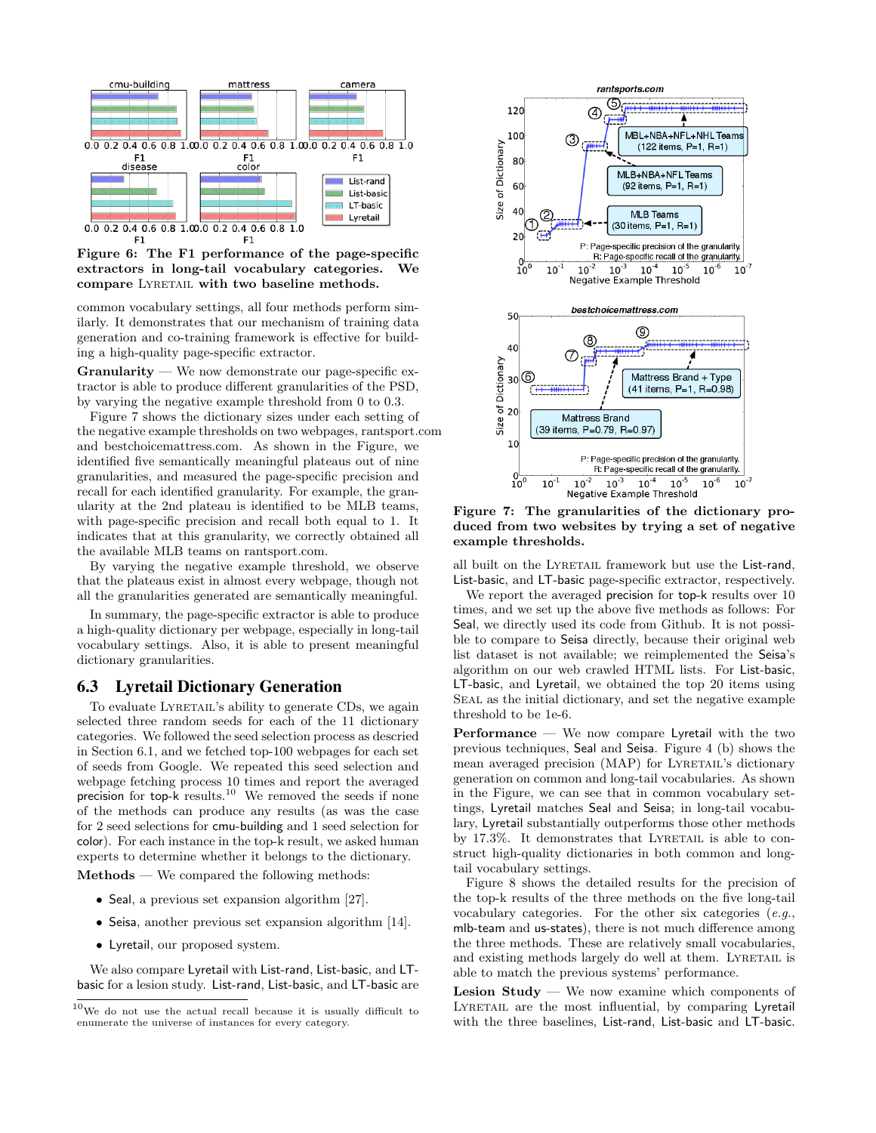

F1 F1

Figure 6: The F1 performance of the page-specific extractors in long-tail vocabulary categories. We compare LYRETAIL with two baseline methods.

common vocabulary settings, all four methods perform similarly. It demonstrates that our mechanism of training data generation and co-training framework is effective for building a high-quality page-specific extractor.

 $$ tractor is able to produce different granularities of the PSD, by varying the negative example threshold from 0 to 0.3.

Figure 7 shows the dictionary sizes under each setting of the negative example thresholds on two webpages, rantsport.com and bestchoicemattress.com. As shown in the Figure, we identified five semantically meaningful plateaus out of nine granularities, and measured the page-specific precision and recall for each identified granularity. For example, the granularity at the 2nd plateau is identified to be MLB teams, with page-specific precision and recall both equal to 1. It indicates that at this granularity, we correctly obtained all the available MLB teams on rantsport.com.

By varying the negative example threshold, we observe that the plateaus exist in almost every webpage, though not all the granularities generated are semantically meaningful.

In summary, the page-specific extractor is able to produce a high-quality dictionary per webpage, especially in long-tail vocabulary settings. Also, it is able to present meaningful dictionary granularities.

# 6.3 Lyretail Dictionary Generation

To evaluate LYRETAIL's ability to generate CDs, we again selected three random seeds for each of the 11 dictionary categories. We followed the seed selection process as descried in Section 6.1, and we fetched top-100 webpages for each set of seeds from Google. We repeated this seed selection and webpage fetching process 10 times and report the averaged precision for top-k results.<sup>10</sup> We removed the seeds if none of the methods can produce any results (as was the case for 2 seed selections for cmu-building and 1 seed selection for color). For each instance in the top-k result, we asked human experts to determine whether it belongs to the dictionary.

Methods — We compared the following methods:

- Seal, a previous set expansion algorithm [27].
- Seisa, another previous set expansion algorithm [14].
- Lyretail, our proposed system.

We also compare Lyretail with List-rand, List-basic, and LTbasic for a lesion study. List-rand, List-basic, and LT-basic are



Figure 7: The granularities of the dictionary produced from two websites by trying a set of negative example thresholds.

all built on the LYRETAIL framework but use the List-rand, List-basic, and LT-basic page-specific extractor, respectively.

We report the averaged precision for top-k results over 10 times, and we set up the above five methods as follows: For Seal, we directly used its code from Github. It is not possible to compare to Seisa directly, because their original web list dataset is not available; we reimplemented the Seisa's algorithm on our web crawled HTML lists. For List-basic, LT-basic, and Lyretail, we obtained the top 20 items using Seal as the initial dictionary, and set the negative example threshold to be 1e-6.

Performance — We now compare Lyretail with the two previous techniques, Seal and Seisa. Figure 4 (b) shows the mean averaged precision (MAP) for LYRETAIL's dictionary generation on common and long-tail vocabularies. As shown in the Figure, we can see that in common vocabulary settings, Lyretail matches Seal and Seisa; in long-tail vocabulary, Lyretail substantially outperforms those other methods by 17.3%. It demonstrates that LYRETAIL is able to construct high-quality dictionaries in both common and longtail vocabulary settings.

Figure 8 shows the detailed results for the precision of the top-k results of the three methods on the five long-tail vocabulary categories. For the other six categories  $(e.g.,)$ mlb-team and us-states), there is not much difference among the three methods. These are relatively small vocabularies, and existing methods largely do well at them. LYRETAIL is able to match the previous systems' performance.

Lesion Study — We now examine which components of Lyretail are the most influential, by comparing Lyretail with the three baselines, List-rand, List-basic and LT-basic.

 $10$ We do not use the actual recall because it is usually difficult to enumerate the universe of instances for every category.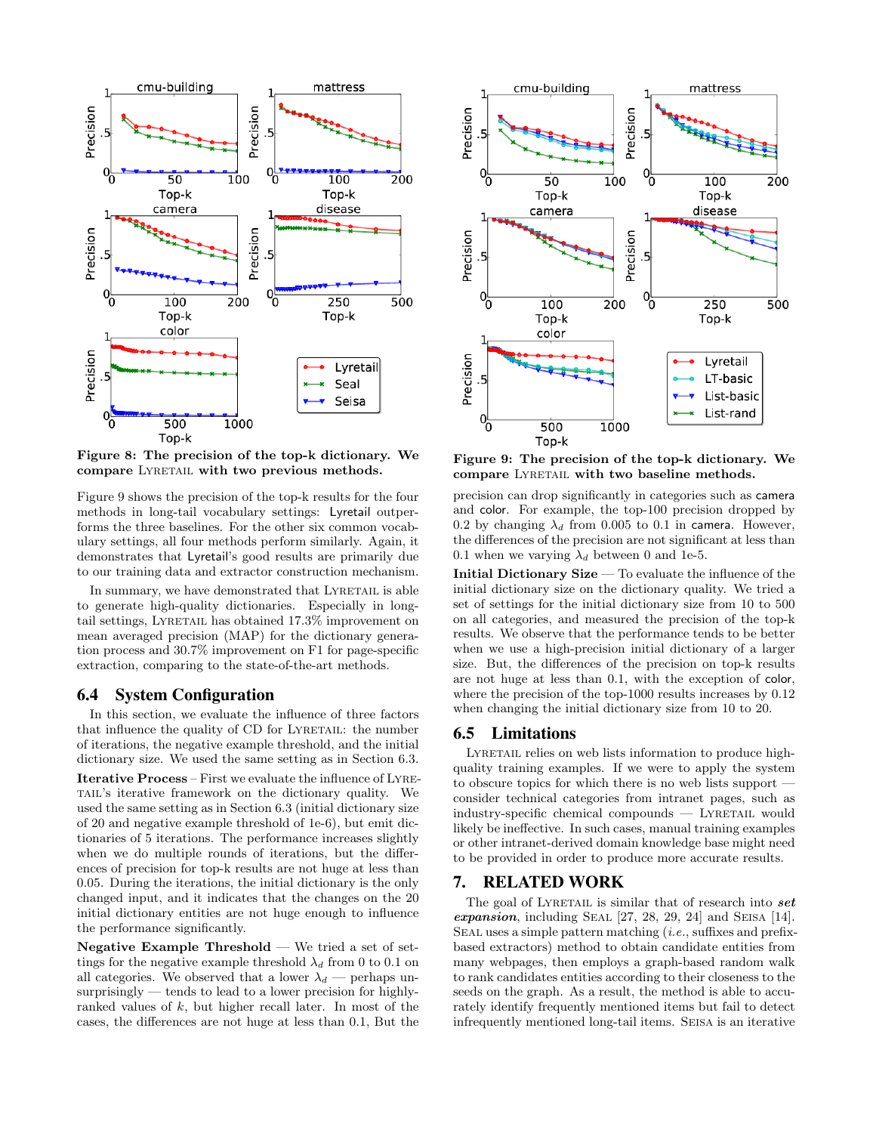

Figure 8: The precision of the top-k dictionary. We compare LYRETAIL with two previous methods.

Figure 9 shows the precision of the top-k results for the four methods in long-tail vocabulary settings: Lyretail outperforms the three baselines. For the other six common vocabulary settings, all four methods perform similarly. Again, it demonstrates that Lyretail's good results are primarily due to our training data and extractor construction mechanism.

In summary, we have demonstrated that LYRETAIL is able to generate high-quality dictionaries. Especially in longtail settings, LYRETAIL has obtained 17.3% improvement on mean averaged precision (MAP) for the dictionary generation process and 30.7% improvement on F1 for page-specific extraction, comparing to the state-of-the-art methods.

# 6.4 System Configuration

In this section, we evaluate the influence of three factors that influence the quality of CD for LYRETAIL: the number of iterations, the negative example threshold, and the initial dictionary size. We used the same setting as in Section 6.3. Iterative Process – First we evaluate the influence of Lyretail's iterative framework on the dictionary quality. We used the same setting as in Section 6.3 (initial dictionary size of 20 and negative example threshold of 1e-6), but emit dictionaries of 5 iterations. The performance increases slightly when we do multiple rounds of iterations, but the differences of precision for top-k results are not huge at less than 0.05. During the iterations, the initial dictionary is the only changed input, and it indicates that the changes on the 20 initial dictionary entities are not huge enough to influence the performance significantly.

**Negative Example Threshold**  $-$  We tried a set of settings for the negative example threshold  $\lambda_d$  from 0 to 0.1 on all categories. We observed that a lower  $\lambda_d$  — perhaps unsurprisingly — tends to lead to a lower precision for highlyranked values of k, but higher recall later. In most of the cases, the differences are not huge at less than 0.1, But the



Figure 9: The precision of the top-k dictionary. We compare LYRETAIL with two baseline methods.

precision can drop significantly in categories such as camera and color. For example, the top-100 precision dropped by 0.2 by changing  $\lambda_d$  from 0.005 to 0.1 in camera. However, the differences of the precision are not significant at less than 0.1 when we varying  $\lambda_d$  between 0 and 1e-5.

Initial Dictionary Size — To evaluate the influence of the initial dictionary size on the dictionary quality. We tried a set of settings for the initial dictionary size from 10 to 500 on all categories, and measured the precision of the top-k results. We observe that the performance tends to be better when we use a high-precision initial dictionary of a larger size. But, the differences of the precision on top-k results are not huge at less than 0.1, with the exception of color, where the precision of the top-1000 results increases by 0.12 when changing the initial dictionary size from 10 to 20.

## 6.5 Limitations

LYRETAIL relies on web lists information to produce highquality training examples. If we were to apply the system to obscure topics for which there is no web lists support consider technical categories from intranet pages, such as  $industry-specific chemical compounds - LYRETAIL would$ likely be ineffective. In such cases, manual training examples or other intranet-derived domain knowledge base might need to be provided in order to produce more accurate results.

# 7. RELATED WORK

The goal of LYRETAIL is similar that of research into  $set$ expansion, including SEAL  $[27, 28, 29, 24]$  and SEISA  $[14]$ . SEAL uses a simple pattern matching  $(i.e.,$  suffixes and prefixbased extractors) method to obtain candidate entities from many webpages, then employs a graph-based random walk to rank candidates entities according to their closeness to the seeds on the graph. As a result, the method is able to accurately identify frequently mentioned items but fail to detect infrequently mentioned long-tail items. Seisa is an iterative